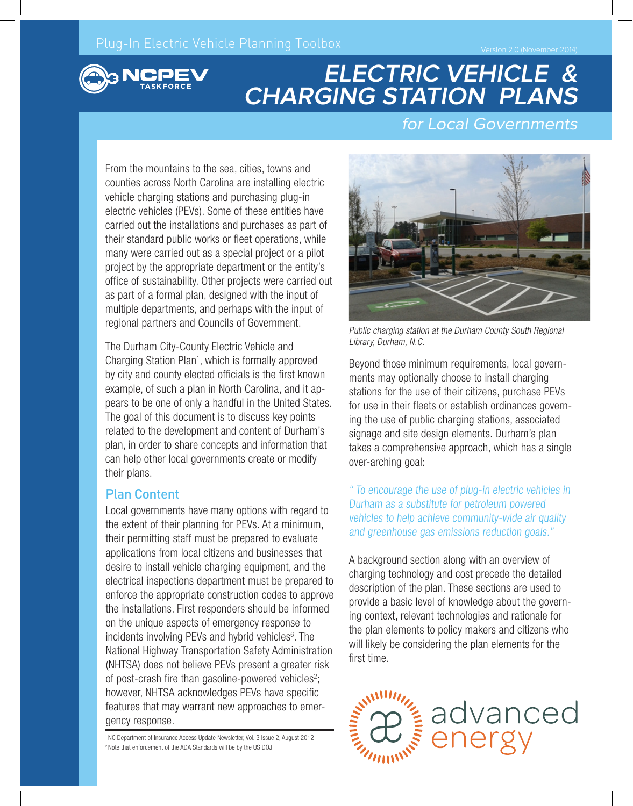

# **ELECTRIC VEHICLE & CHARGING STATION PLANS**

#### for Local Governments

From the mountains to the sea, cities, towns and counties across North Carolina are installing electric vehicle charging stations and purchasing plug-in electric vehicles (PEVs). Some of these entities have carried out the installations and purchases as part of their standard public works or fleet operations, while many were carried out as a special project or a pilot project by the appropriate department or the entity's office of sustainability. Other projects were carried out as part of a formal plan, designed with the input of multiple departments, and perhaps with the input of regional partners and Councils of Government.

The Durham City-County Electric Vehicle and Charging Station Plan<sup>1</sup>, which is formally approved by city and county elected officials is the first known example, of such a plan in North Carolina, and it appears to be one of only a handful in the United States. The goal of this document is to discuss key points related to the development and content of Durham's plan, in order to share concepts and information that can help other local governments create or modify their plans.

#### Plan Content

Local governments have many options with regard to the extent of their planning for PEVs. At a minimum, their permitting staff must be prepared to evaluate applications from local citizens and businesses that desire to install vehicle charging equipment, and the electrical inspections department must be prepared to enforce the appropriate construction codes to approve the installations. First responders should be informed on the unique aspects of emergency response to incidents involving PEVs and hybrid vehicles<sup>6</sup>. The National Highway Transportation Safety Administration (NHTSA) does not believe PEVs present a greater risk of post-crash fire than gasoline-powered vehicles<sup>2</sup>; however, NHTSA acknowledges PEVs have specific features that may warrant new approaches to emergency response.

1 NC Department of Insurance Access Update Newsletter, Vol. 3 Issue 2, August 2012 2 Note that enforcement of the ADA Standards will be by the US DOJ



Public charging station at the Durham County South Regional Library, Durham, N.C.

Beyond those minimum requirements, local governments may optionally choose to install charging stations for the use of their citizens, purchase PEVs for use in their fleets or establish ordinances governing the use of public charging stations, associated signage and site design elements. Durham's plan takes a comprehensive approach, which has a single over-arching goal:

" To encourage the use of plug-in electric vehicles in Durham as a substitute for petroleum powered vehicles to help achieve community-wide air quality and greenhouse gas emissions reduction goals."

A background section along with an overview of charging technology and cost precede the detailed description of the plan. These sections are used to provide a basic level of knowledge about the governing context, relevant technologies and rationale for the plan elements to policy makers and citizens who will likely be considering the plan elements for the first time.

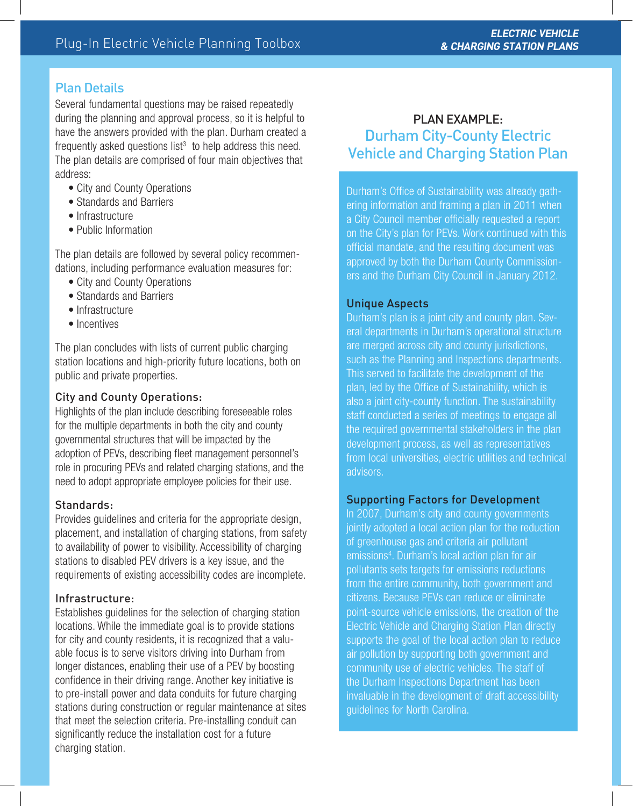#### Plan Details

Several fundamental questions may be raised repeatedly during the planning and approval process, so it is helpful to have the answers provided with the plan. Durham created a frequently asked questions list $3$  to help address this need. The plan details are comprised of four main objectives that address:

- City and County Operations
- Standards and Barriers
- Infrastructure
- Public Information

The plan details are followed by several policy recommendations, including performance evaluation measures for:

- City and County Operations
- Standards and Barriers
- Infrastructure
- Incentives

The plan concludes with lists of current public charging station locations and high-priority future locations, both on public and private properties.

#### City and County Operations:

Highlights of the plan include describing foreseeable roles for the multiple departments in both the city and county governmental structures that will be impacted by the adoption of PEVs, describing fleet management personnel's role in procuring PEVs and related charging stations, and the need to adopt appropriate employee policies for their use.

#### Standards:

Provides guidelines and criteria for the appropriate design, placement, and installation of charging stations, from safety to availability of power to visibility. Accessibility of charging stations to disabled PEV drivers is a key issue, and the requirements of existing accessibility codes are incomplete.

#### Infrastructure:

Establishes guidelines for the selection of charging station locations. While the immediate goal is to provide stations for city and county residents, it is recognized that a valuable focus is to serve visitors driving into Durham from longer distances, enabling their use of a PEV by boosting confidence in their driving range. Another key initiative is to pre-install power and data conduits for future charging stations during construction or regular maintenance at sites that meet the selection criteria. Pre-installing conduit can significantly reduce the installation cost for a future charging station.

### PLAN EXAMPLE: Durham City-County Electric Vehicle and Charging Station Plan

Durham's Office of Sustainability was already gathering information and framing a plan in 2011 when a City Council member officially requested a report on the City's plan for PEVs. Work continued with this official mandate, and the resulting document was approved by both the Durham County Commissioners and the Durham City Council in January 2012.

#### Unique Aspects

Durham's plan is a joint city and county plan. Several departments in Durham's operational structure are merged across city and county jurisdictions, such as the Planning and Inspections departments. This served to facilitate the development of the plan, led by the Office of Sustainability, which is also a joint city-county function. The sustainability staff conducted a series of meetings to engage all the required governmental stakeholders in the plan development process, as well as representatives from local universities, electric utilities and technical advisors.

#### Supporting Factors for Development

In 2007, Durham's city and county governments jointly adopted a local action plan for the reduction of greenhouse gas and criteria air pollutant emissions4 . Durham's local action plan for air pollutants sets targets for emissions reductions from the entire community, both government and citizens. Because PEVs can reduce or eliminate point-source vehicle emissions, the creation of the Electric Vehicle and Charging Station Plan directly supports the goal of the local action plan to reduce air pollution by supporting both government and community use of electric vehicles. The staff of the Durham Inspections Department has been invaluable in the development of draft accessibility guidelines for North Carolina.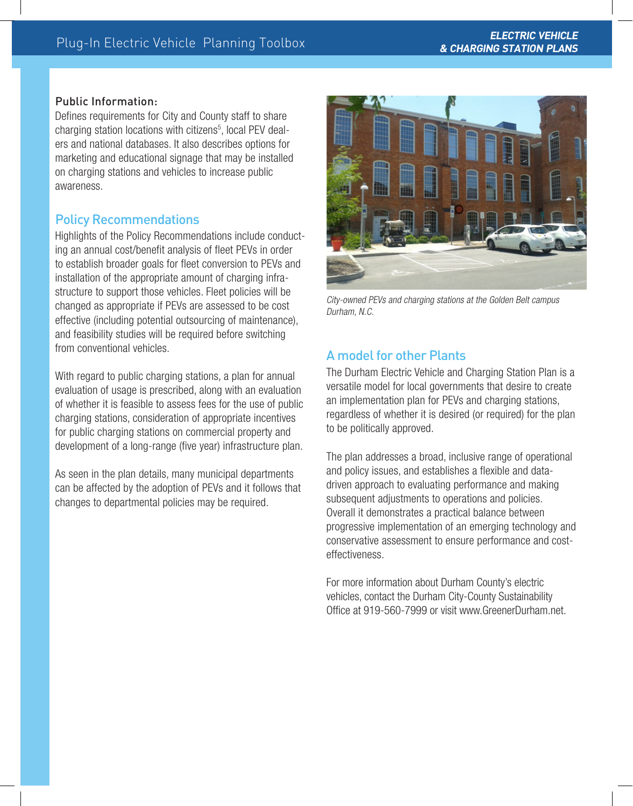#### Public Information:

Defines requirements for City and County staff to share charging station locations with citizens<sup>5</sup>, local PEV dealers and national databases. It also describes options for marketing and educational signage that may be installed on charging stations and vehicles to increase public awareness.

#### Policy Recommendations

Highlights of the Policy Recommendations include conducting an annual cost/benefit analysis of fleet PEVs in order to establish broader goals for fleet conversion to PEVs and installation of the appropriate amount of charging infrastructure to support those vehicles. Fleet policies will be changed as appropriate if PEVs are assessed to be cost effective (including potential outsourcing of maintenance), and feasibility studies will be required before switching from conventional vehicles.

With regard to public charging stations, a plan for annual evaluation of usage is prescribed, along with an evaluation of whether it is feasible to assess fees for the use of public charging stations, consideration of appropriate incentives for public charging stations on commercial property and development of a long-range (five year) infrastructure plan.

As seen in the plan details, many municipal departments can be affected by the adoption of PEVs and it follows that changes to departmental policies may be required.



City-owned PEVs and charging stations at the Golden Belt campus Durham, N.C.

#### A model for other Plants

The Durham Electric Vehicle and Charging Station Plan is a versatile model for local governments that desire to create an implementation plan for PEVs and charging stations, regardless of whether it is desired (or required) for the plan to be politically approved.

The plan addresses a broad, inclusive range of operational and policy issues, and establishes a flexible and datadriven approach to evaluating performance and making subsequent adjustments to operations and policies. Overall it demonstrates a practical balance between progressive implementation of an emerging technology and conservative assessment to ensure performance and costeffectiveness.

For more information about Durham County's electric vehicles, contact the Durham City-County Sustainability Office at 919-560-7999 or visit www.GreenerDurham.net.